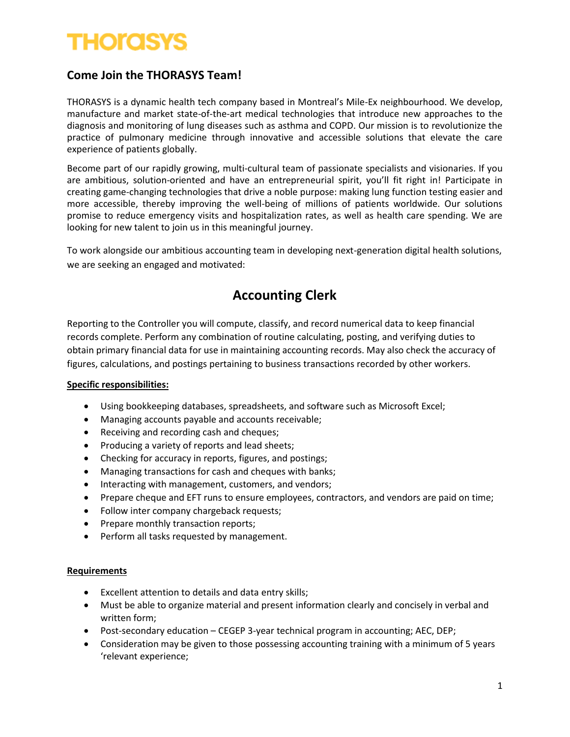## **THOIOSYS**

### **Come Join the THORASYS Team!**

THORASYS is a dynamic health tech company based in Montreal's Mile-Ex neighbourhood. We develop, manufacture and market state-of-the-art medical technologies that introduce new approaches to the diagnosis and monitoring of lung diseases such as asthma and COPD. Our mission is to revolutionize the practice of pulmonary medicine through innovative and accessible solutions that elevate the care experience of patients globally.

Become part of our rapidly growing, multi-cultural team of passionate specialists and visionaries. If you are ambitious, solution-oriented and have an entrepreneurial spirit, you'll fit right in! Participate in creating game-changing technologies that drive a noble purpose: making lung function testing easier and more accessible, thereby improving the well-being of millions of patients worldwide. Our solutions promise to reduce emergency visits and hospitalization rates, as well as health care spending. We are looking for new talent to join us in this meaningful journey.

To work alongside our ambitious accounting team in developing next-generation digital health solutions, we are seeking an engaged and motivated:

### **Accounting Clerk**

Reporting to the Controller you will compute, classify, and record numerical data to keep financial records complete. Perform any combination of routine calculating, posting, and verifying duties to obtain primary financial data for use in maintaining accounting records. May also check the accuracy of figures, calculations, and postings pertaining to business transactions recorded by other workers.

#### **Specific responsibilities:**

- Using bookkeeping databases, spreadsheets, and software such as Microsoft Excel;
- Managing accounts payable and accounts receivable;
- Receiving and recording cash and cheques;
- Producing a variety of reports and lead sheets;
- Checking for accuracy in reports, figures, and postings;
- Managing transactions for cash and cheques with banks;
- Interacting with management, customers, and vendors;
- Prepare cheque and EFT runs to ensure employees, contractors, and vendors are paid on time;
- Follow inter company chargeback requests;
- Prepare monthly transaction reports;
- Perform all tasks requested by management.

#### **Requirements**

- Excellent attention to details and data entry skills;
- Must be able to organize material and present information clearly and concisely in verbal and written form;
- Post-secondary education CEGEP 3-year technical program in accounting; AEC, DEP;
- Consideration may be given to those possessing accounting training with a minimum of 5 years 'relevant experience;